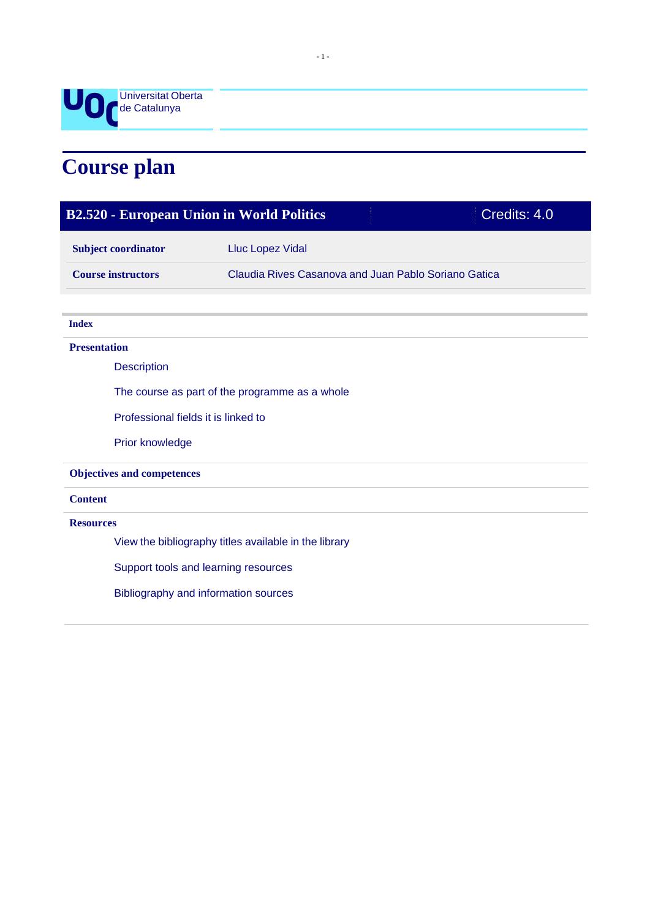

# **Course plan**

| Credits: 4.0<br><b>B2.520 - European Union in World Politics</b> |                                                      |  |
|------------------------------------------------------------------|------------------------------------------------------|--|
| <b>Subject coordinator</b>                                       | <b>Lluc Lopez Vidal</b>                              |  |
| <b>Course instructors</b>                                        | Claudia Rives Casanova and Juan Pablo Soriano Gatica |  |
|                                                                  |                                                      |  |
| <b>Index</b>                                                     |                                                      |  |
| <b>Presentation</b>                                              |                                                      |  |
| <b>Description</b>                                               |                                                      |  |
| The course as part of the programme as a whole                   |                                                      |  |
| Professional fields it is linked to                              |                                                      |  |
| Prior knowledge                                                  |                                                      |  |
| <b>Objectives and competences</b>                                |                                                      |  |
| <b>Content</b>                                                   |                                                      |  |
| <b>Resources</b>                                                 |                                                      |  |
| View the bibliography titles available in the library            |                                                      |  |
| Support tools and learning resources                             |                                                      |  |
| Bibliography and information sources                             |                                                      |  |
|                                                                  |                                                      |  |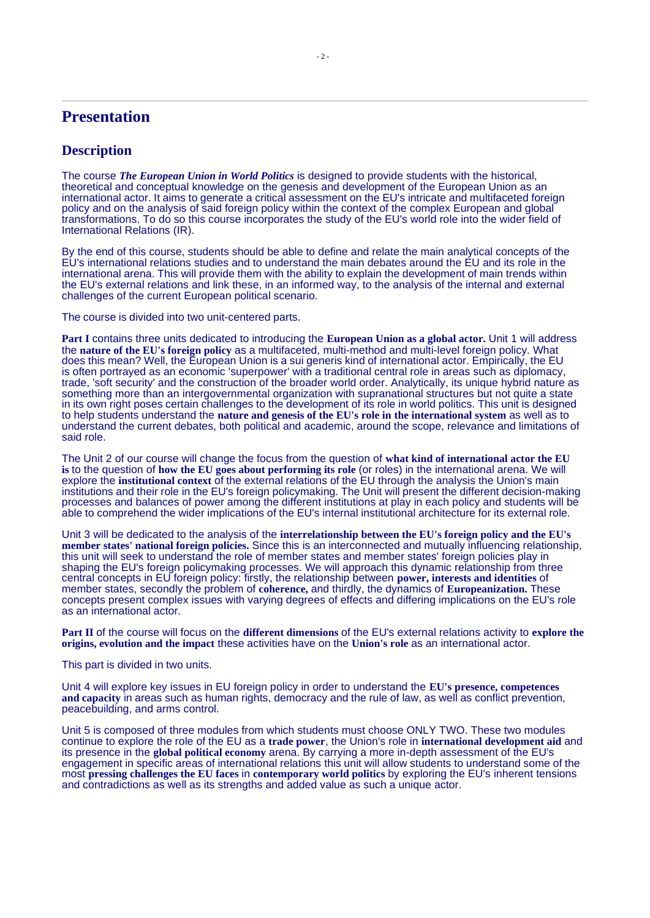# **Presentation**

## **Description**

The course *The European Union in World Politics* is designed to provide students with the historical, theoretical and conceptual knowledge on the genesis and development of the European Union as an international actor. It aims to generate a critical assessment on the EU's intricate and multifaceted foreign policy and on the analysis of said foreign policy within the context of the complex European and global transformations. To do so this course incorporates the study of the EU's world role into the wider field of International Relations (IR).

By the end of this course, students should be able to define and relate the main analytical concepts of the EU's international relations studies and to understand the main debates around the EU and its role in the international arena. This will provide them with the ability to explain the development of main trends within the EU's external relations and link these, in an informed way, to the analysis of the internal and external challenges of the current European political scenario.

The course is divided into two unit-centered parts.

**Part I** contains three units dedicated to introducing the **European Union as a global actor.** Unit 1 will address the **nature of the EU's foreign policy** as a multifaceted, multi-method and multi-level foreign policy. What does this mean? Well, the European Union is a sui generis kind of international actor. Empirically, the EU is often portrayed as an economic 'superpower' with a traditional central role in areas such as diplomacy, trade, 'soft security' and the construction of the broader world order. Analytically, its unique hybrid nature as something more than an intergovernmental organization with supranational structures but not quite a state in its own right poses certain challenges to the development of its role in world politics. This unit is designed to help students understand the **nature and genesis of the EU's role in the international system** as well as to understand the current debates, both political and academic, around the scope, relevance and limitations of said role.

The Unit 2 of our course will change the focus from the question of **what kind of international actor the EU is** to the question of **how the EU goes about performing its role** (or roles) in the international arena. We will explore the **institutional context** of the external relations of the EU through the analysis the Union's main institutions and their role in the EU's foreign policymaking. The Unit will present the different decision-making processes and balances of power among the different institutions at play in each policy and students will be able to comprehend the wider implications of the EU's internal institutional architecture for its external role.

Unit 3 will be dedicated to the analysis of the **interrelationship between the EU's foreign policy and the EU's member states' national foreign policies.** Since this is an interconnected and mutually influencing relationship, this unit will seek to understand the role of member states and member states' foreign policies play in shaping the EU's foreign policymaking processes. We will approach this dynamic relationship from three central concepts in EU foreign policy: firstly, the relationship between **power, interests and identities** of member states, secondly the problem of **coherence,** and thirdly, the dynamics of **Europeanization.** These concepts present complex issues with varying degrees of effects and differing implications on the EU's role as an international actor.

**Part II** of the course will focus on the **different dimensions** of the EU's external relations activity to **explore the origins, evolution and the impact** these activities have on the **Union's role** as an international actor.

This part is divided in two units.

Unit 4 will explore key issues in EU foreign policy in order to understand the **EU's presence, competences and capacity** in areas such as human rights, democracy and the rule of law, as well as conflict prevention, peacebuilding, and arms control.

Unit 5 is composed of three modules from which students must choose ONLY TWO. These two modules continue to explore the role of the EU as a **trade power**, the Union's role in **international development aid** and its presence in the **global political economy** arena. By carrying a more in-depth assessment of the EU's engagement in specific areas of international relations this unit will allow students to understand some of the most **pressing challenges the EU faces** in **contemporary world politics** by exploring the EU's inherent tensions and contradictions as well as its strengths and added value as such a unique actor.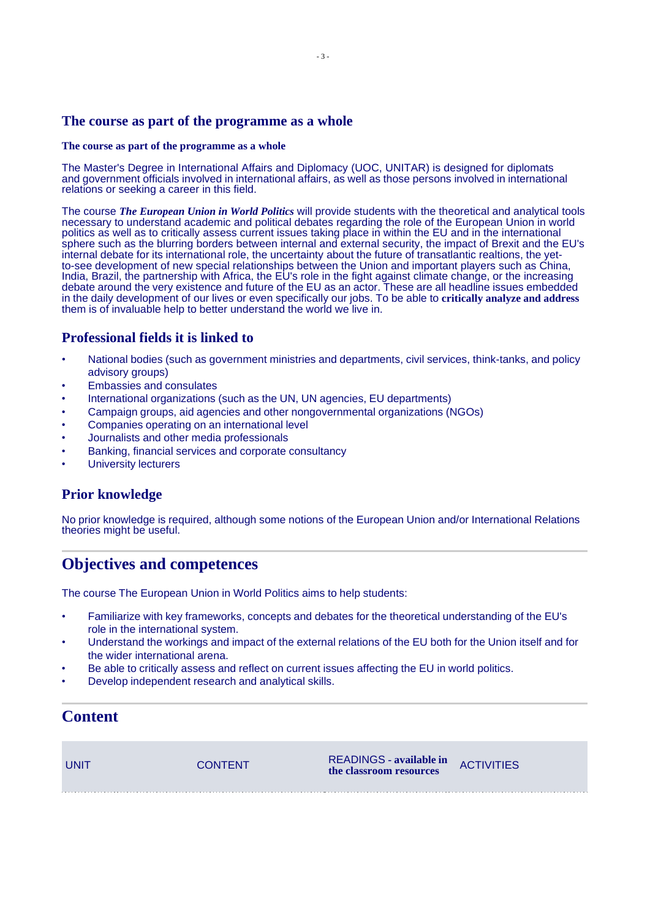## **The course as part of the programme as a whole**

#### **The course as part of the programme as a whole**

The Master's Degree in International Affairs and Diplomacy (UOC, UNITAR) is designed for diplomats and government officials involved in international affairs, as well as those persons involved in international relations or seeking a career in this field.

The course *The European Union in World Politics* will provide students with the theoretical and analytical tools necessary to understand academic and political debates regarding the role of the European Union in world politics as well as to critically assess current issues taking place in within the EU and in the international sphere such as the blurring borders between internal and external security, the impact of Brexit and the EU's internal debate for its international role, the uncertainty about the future of transatlantic realtions, the yetto-see development of new special relationships between the Union and important players such as China, India, Brazil, the partnership with Africa, the EU's role in the fight against climate change, or the increasing debate around the very existence and future of the EU as an actor. These are all headline issues embedded in the daily development of our lives or even specifically our jobs. To be able to **critically analyze and address** them is of invaluable help to better understand the world we live in.

# **Professional fields it is linked to**

- National bodies (such as government ministries and departments, civil services, think-tanks, and policy advisory groups)
- Embassies and consulates
- International organizations (such as the UN, UN agencies, EU departments)
- Campaign groups, aid agencies and other nongovernmental organizations (NGOs)
- Companies operating on an international level
- Journalists and other media professionals
- Banking, financial services and corporate consultancy
- University lecturers

## **Prior knowledge**

No prior knowledge is required, although some notions of the European Union and/or International Relations theories might be useful.

# **Objectives and competences**

The course The European Union in World Politics aims to help students:

- Familiarize with key frameworks, concepts and debates for the theoretical understanding of the EU's role in the international system.
- Understand the workings and impact of the external relations of the EU both for the Union itself and for the wider international arena.
- Be able to critically assess and reflect on current issues affecting the EU in world politics.
- Develop independent research and analytical skills.

# **Content**

| UNIT | <b>CONTENT</b> | READINGS - available in<br>the classroom resources | ACTIVITIES |
|------|----------------|----------------------------------------------------|------------|
|      |                |                                                    |            |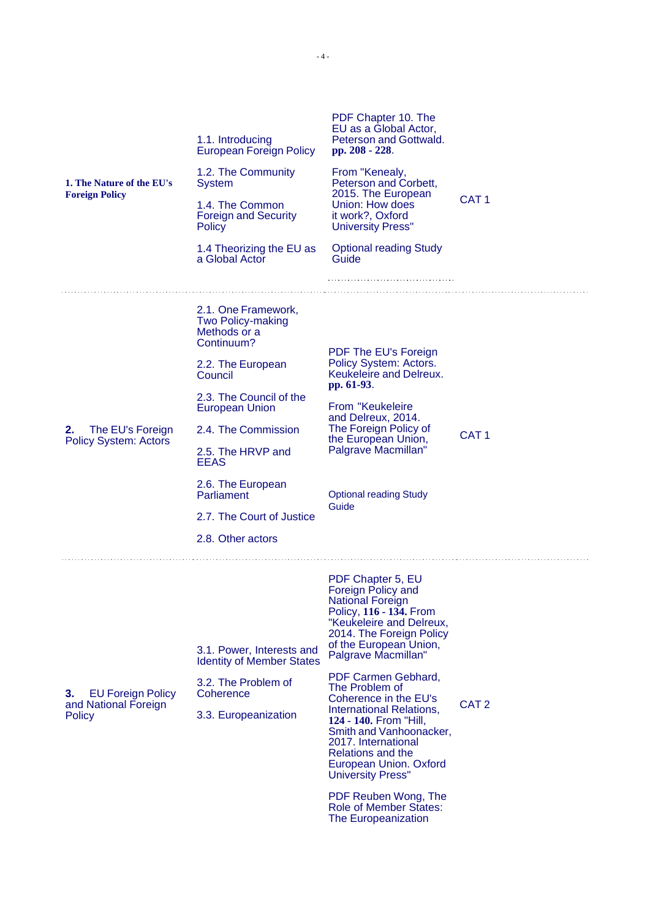| 1. The Nature of the EU's<br><b>Foreign Policy</b>               | 1.1. Introducing<br><b>European Foreign Policy</b><br>1.2. The Community<br><b>System</b><br>1.4. The Common<br><b>Foreign and Security</b><br>Policy<br>1.4 Theorizing the EU as<br>a Global Actor                                                                                                               | PDF Chapter 10. The<br>EU as a Global Actor,<br>Peterson and Gottwald.<br>pp. 208 - 228.<br>From "Kenealy,<br>Peterson and Corbett,<br>2015. The European<br>Union: How does<br>it work?, Oxford<br><b>University Press"</b><br><b>Optional reading Study</b><br>Guide                                                                                                                                                                                      | CAT <sub>1</sub> |
|------------------------------------------------------------------|-------------------------------------------------------------------------------------------------------------------------------------------------------------------------------------------------------------------------------------------------------------------------------------------------------------------|-------------------------------------------------------------------------------------------------------------------------------------------------------------------------------------------------------------------------------------------------------------------------------------------------------------------------------------------------------------------------------------------------------------------------------------------------------------|------------------|
| The EU's Foreign<br>2.<br><b>Policy System: Actors</b>           | 2.1. One Framework,<br><b>Two Policy-making</b><br>Methods or a<br>Continuum?<br>2.2. The European<br>Council<br>2.3. The Council of the<br><b>European Union</b><br>2.4. The Commission<br>2.5. The HRVP and<br><b>EEAS</b><br>2.6. The European<br>Parliament<br>2.7. The Court of Justice<br>2.8. Other actors | PDF The EU's Foreign<br>Policy System: Actors.<br>Keukeleire and Delreux.<br>pp. 61-93.<br>From "Keukeleire<br>and Delreux, 2014.<br>The Foreign Policy of<br>the European Union,<br>Palgrave Macmillan"<br><b>Optional reading Study</b><br>Guide                                                                                                                                                                                                          | CAT <sub>1</sub> |
| З.<br><b>EU Foreign Policy</b><br>and National Foreign<br>Policy | 3.1. Power, Interests and<br><b>Identity of Member States</b><br>3.2. The Problem of<br>Coherence<br>3.3. Europeanization                                                                                                                                                                                         | PDF Chapter 5, EU<br>Foreign Policy and<br><b>National Foreign</b><br>Policy, 116 - 134. From<br>"Keukeleire and Delreux,<br>2014. The Foreign Policy<br>of the European Union,<br>Palgrave Macmillan"<br>PDF Carmen Gebhard,<br>The Problem of<br>Coherence in the EU's<br>International Relations,<br>124 - 140. From "Hill,<br>Smith and Vanhoonacker,<br>2017. International<br>Relations and the<br>European Union. Oxford<br><b>University Press"</b> | CAT <sub>2</sub> |

PDF Reuben Wong, The Role of Member States: The Europeanization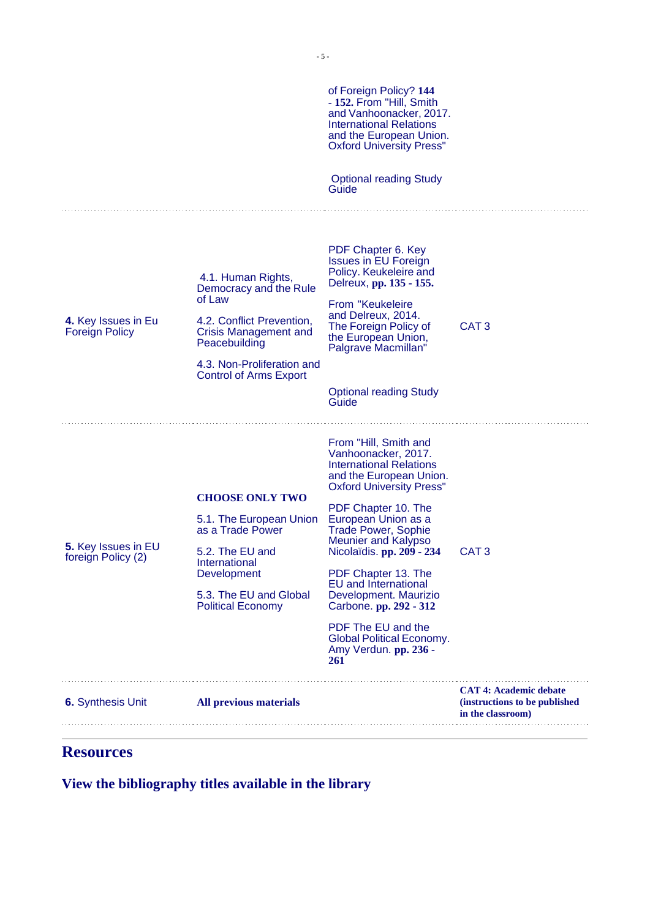|                                              |                                                                                                                                                                                                     | of Foreign Policy? 144<br>- 152. From "Hill, Smith<br>and Vanhoonacker, 2017.<br><b>International Relations</b><br>and the European Union.<br><b>Oxford University Press"</b><br><b>Optional reading Study</b><br>Guide                                                                                                                                                                                                                                                         |                                                                                     |
|----------------------------------------------|-----------------------------------------------------------------------------------------------------------------------------------------------------------------------------------------------------|---------------------------------------------------------------------------------------------------------------------------------------------------------------------------------------------------------------------------------------------------------------------------------------------------------------------------------------------------------------------------------------------------------------------------------------------------------------------------------|-------------------------------------------------------------------------------------|
| 4. Key Issues in Eu<br><b>Foreign Policy</b> | 4.1. Human Rights,<br>Democracy and the Rule<br>of Law<br>4.2. Conflict Prevention,<br><b>Crisis Management and</b><br>Peacebuilding<br>4.3. Non-Proliferation and<br><b>Control of Arms Export</b> | PDF Chapter 6. Key<br><b>Issues in EU Foreign</b><br>Policy. Keukeleire and<br>Delreux, pp. 135 - 155.<br>From "Keukeleire<br>and Delreux, 2014.<br>The Foreign Policy of<br>the European Union,<br>Palgrave Macmillan"<br><b>Optional reading Study</b><br>Guide                                                                                                                                                                                                               | CAT <sub>3</sub>                                                                    |
| 5. Key Issues in EU<br>foreign Policy (2)    | <b>CHOOSE ONLY TWO</b><br>5.1. The European Union<br>as a Trade Power<br>5.2. The EU and<br>International<br>Development<br>5.3. The EU and Global<br><b>Political Economy</b>                      | From "Hill, Smith and<br>Vanhoonacker, 2017.<br><b>International Relations</b><br>and the European Union.<br><b>Oxford University Press"</b><br>PDF Chapter 10. The<br>European Union as a<br><b>Trade Power, Sophie</b><br>Meunier and Kalypso<br>Nicolaïdis. pp. 209 - 234<br>PDF Chapter 13. The<br><b>EU</b> and International<br>Development. Maurizio<br>Carbone. pp. 292 - 312<br>PDF The EU and the<br><b>Global Political Economy.</b><br>Amy Verdun. pp. 236 -<br>261 | CAT <sub>3</sub>                                                                    |
| <b>6.</b> Synthesis Unit                     | All previous materials                                                                                                                                                                              |                                                                                                                                                                                                                                                                                                                                                                                                                                                                                 | <b>CAT 4: Academic debate</b><br>(instructions to be published<br>in the classroom) |

# **Resources**

**View the bibliography titles available in the library**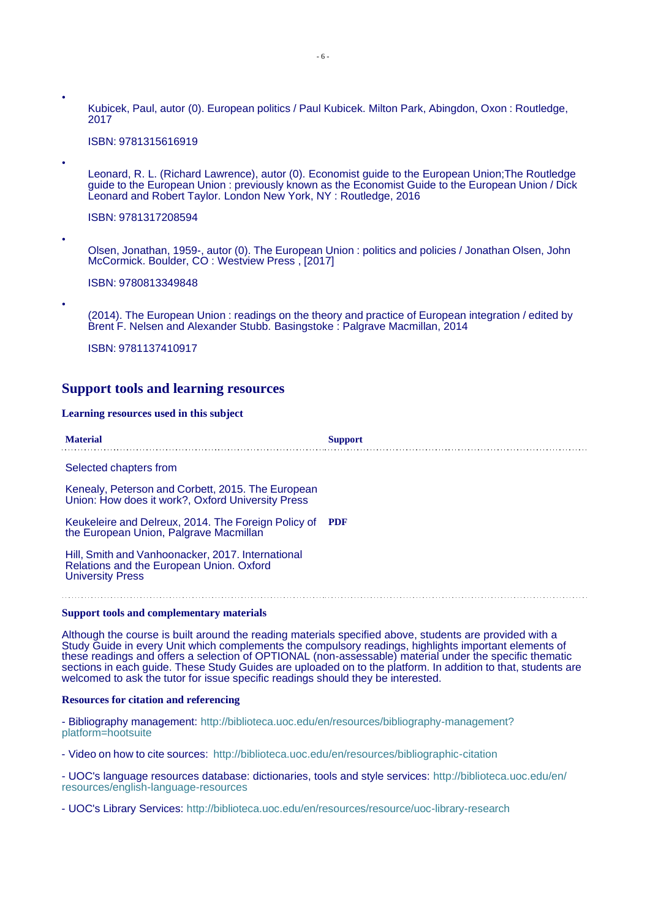• Kubicek, Paul, autor (0). European politics / Paul Kubicek. Milton Park, Abingdon, Oxon : Routledge, 2017

ISBN: 9781315616919

Leonard, R. L. (Richard Lawrence), autor (0). Economist guide to the European Union;The Routledge guide to the European Union : previously known as the Economist Guide to the European Union / Dick Leonard and Robert Taylor. London New York, NY : Routledge, 2016

ISBN: 9781317208594

•

•

•

Olsen, Jonathan, 1959-, autor (0). The European Union : politics and policies / Jonathan Olsen, John McCormick. Boulder, CO : Westview Press , [2017]

ISBN: 9780813349848

(2014). The European Union : readings on the theory and practice of European integration / edited by Brent F. Nelsen and Alexander Stubb. Basingstoke : Palgrave Macmillan, 2014

ISBN: 9781137410917

#### **Support tools and learning resources**

#### **Learning resources used in this subject**

| <b>Material</b> | <b>Support</b> |
|-----------------|----------------|
|                 |                |

Selected chapters from

Kenealy, Peterson and Corbett, 2015. The European Union: How does it work?, Oxford University Press

Keukeleire and Delreux, 2014. The Foreign Policy of **PDF** the European Union, Palgrave Macmillan

Hill, Smith and Vanhoonacker, 2017. International Relations and the European Union. Oxford University Press

#### **Support tools and complementary materials**

Although the course is built around the reading materials specified above, students are provided with a Study Guide in every Unit which complements the compulsory readings, highlights important elements of these readings and offers a selection of OPTIONAL (non-assessable) material under the specific thematic sections in each guide. These Study Guides are uploaded on to the platform. In addition to that, students are welcomed to ask the tutor for issue specific readings should they be interested.

#### **Resources for citation and referencing**

- Bibliography management: [http://biblioteca.uoc.edu/en/resources/bibliography-management?](http://biblioteca.uoc.edu/en/resources/bibliography-management) platform=hootsuite

- Video on how to cite sources: <http://biblioteca.uoc.edu/en/resources/bibliographic-citation>

- UOC's language resources database: dictionaries, tools and style services:<http://biblioteca.uoc.edu/en/> resources/english-language-resources

- UOC's Library Services: <http://biblioteca.uoc.edu/en/resources/resource/uoc-library-research>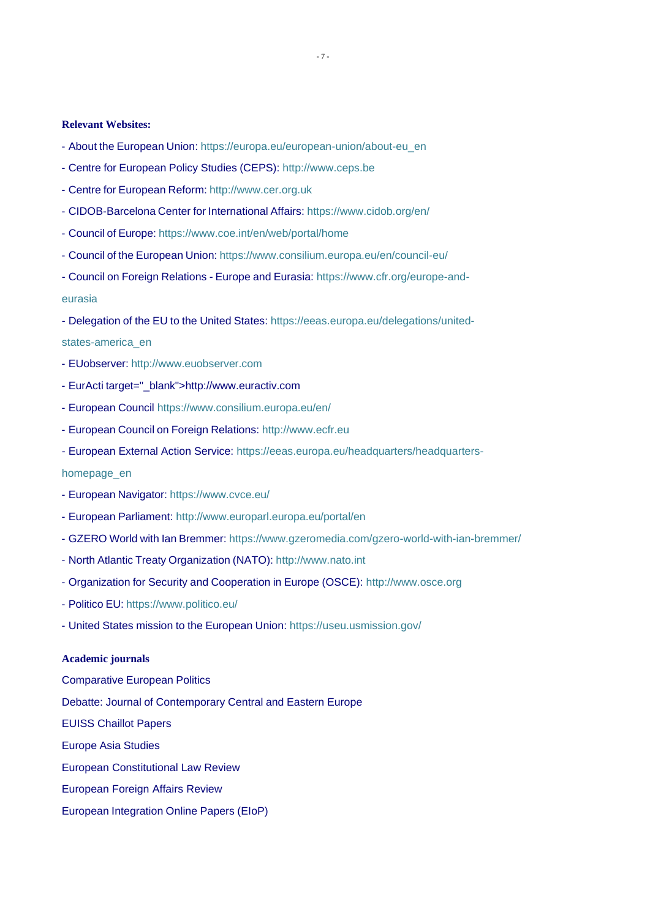#### **Relevant Websites:**

- About the European Union: https://europa.eu/european-union/about-eu\_en
- Centre for European Policy Studies (CEPS): [http://www.ceps.be](http://www.ceps.be/)
- Centre for European Reform: [http://www.cer.org.uk](http://www.cer.org.uk/)
- CIDOB-Barcelona Center for International Affairs: [https://www.cidob.org/en/](http://www.cidob.org/en/)
- Council of Europe: [https://www.coe.int/en/web/portal/home](http://www.coe.int/en/web/portal/home)
- Council of the European Union: [https://www.consilium.europa.eu/en/council-eu/](http://www.consilium.europa.eu/en/council-eu/)
- Council on Foreign Relations Europe and Eurasia: [https://www.](http://www.cfr.org/europe-and-)cf[r.org/europe-and](http://www.cfr.org/europe-and-)eurasia
- Delegation of the EU to the United States: https://eeas.europa.eu/delegations/united-
- states-america\_en
- EUobserver: [http://www.euobserver.com](http://www.euobserver.com/)
- EurActi [target="\\_blank">http://www.](http://www.euractiv.com/)euractiv.com
- European Council [https://www.consilium.europa.eu/en/](http://www.consilium.europa.eu/en/)
- European Council on Foreign Relations: [http://www.ecfr.eu](http://www.ecfr.eu/)
- European External Action Service: https://eeas.europa.eu/headquarters/headquarters-

### homepage\_en

- European Navigator: [https://www.cvce.eu/](http://www.cvce.eu/)
- European Parliament: <http://www.europarl.europa.eu/portal/en>
- GZERO World with Ian Bremmer: [https://www.gzeromedia.com/gzero-world-with-ian-bremmer/](http://www.gzeromedia.com/gzero-world-with-ian-bremmer/)
- North Atlantic Treaty Organization (NATO): [http://www.nato.int](http://www.nato.int/)
- Organization for Security and Cooperation in Europe (OSCE): [http://www.osce.org](http://www.osce.org/)
- Politico EU: [https://www.politico.eu/](http://www.politico.eu/)
- United States mission to the European Union: https://useu.usmission.gov/

#### **Academic journals**

Comparative European Politics Debatte: Journal of Contemporary Central and Eastern Europe EUISS Chaillot Papers Europe Asia Studies European Constitutional Law Review European Foreign Affairs Review European Integration Online Papers (EIoP)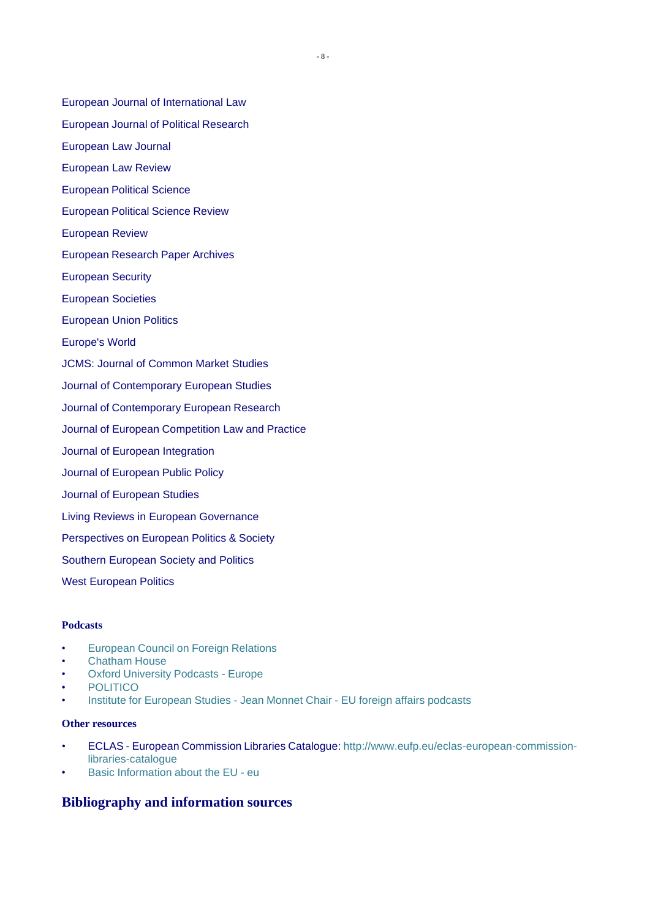- European Journal of Political Research
- European Law Journal
- European Law Review
- European Political Science
- European Political Science Review
- European Review
- European Research Paper Archives
- European Security
- European Societies
- European Union Politics
- Europe's World
- JCMS: Journal of Common Market Studies
- Journal of Contemporary European Studies
- Journal of Contemporary European Research
- Journal of European Competition Law and Practice
- Journal of European Integration
- Journal of European Public Policy
- Journal of European Studies
- Living Reviews in European Governance
- Perspectives on European Politics & Society
- Southern European Society and Politics
- West European Politics

#### **Podcasts**

- European Council on Foreign Relations
- Chatham House
- **Oxford University Podcasts Europe**
- **POLITICO**
- Institute for European Studies Jean Monnet Chair EU foreign affairs podcasts

#### **Other resources**

- ECLAS European Commission Libraries Catalogue: [http://www.eufp.eu/eclas-european-commission](http://www.eufp.eu/eclas-european-commission-)libraries-catalogue
- Basic Information about the EU eu

## **Bibliography and information sources**